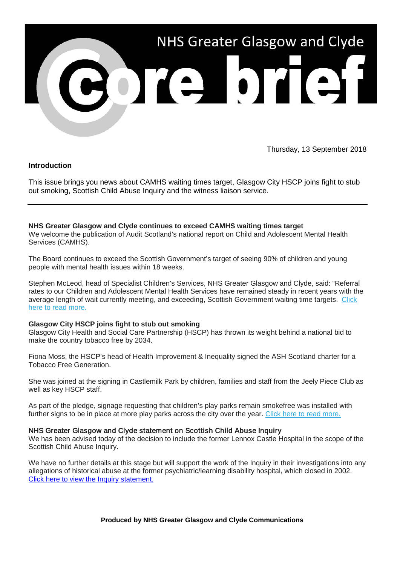

Thursday, 13 September 2018

## **Introduction**

This issue brings you news about CAMHS waiting times target, Glasgow City HSCP joins fight to stub out smoking, Scottish Child Abuse Inquiry and the witness liaison service.

# **NHS Greater Glasgow and Clyde continues to exceed CAMHS waiting times target**

We welcome the publication of Audit Scotland's national report on Child and Adolescent Mental Health Services (CAMHS).

The Board continues to exceed the Scottish Government's target of seeing 90% of children and young people with mental health issues within 18 weeks.

Stephen McLeod, head of Specialist Children's Services, NHS Greater Glasgow and Clyde, said: "Referral rates to our Children and Adolescent Mental Health Services have remained steady in recent years with the average length of wait currently meeting, and exceeding, Scottish Government waiting time targets. [Click](https://nhsggc.us12.list-manage.com/track/click?u=0f385b5aea37eaf0213bd19fb&id=f34980645d&e=5af5e1832c)  [here to read more.](https://nhsggc.us12.list-manage.com/track/click?u=0f385b5aea37eaf0213bd19fb&id=f34980645d&e=5af5e1832c)

#### **Glasgow City HSCP joins fight to stub out smoking**

Glasgow City Health and Social Care Partnership (HSCP) has thrown its weight behind a national bid to make the country tobacco free by 2034.

Fiona Moss, the HSCP's head of Health Improvement & Inequality signed the ASH Scotland charter for a Tobacco Free Generation.

She was joined at the signing in Castlemilk Park by children, families and staff from the Jeely Piece Club as well as key HSCP staff.

As part of the pledge, signage requesting that children's play parks remain smokefree was installed with further signs to be in place at more play parks across the city over the year. [Click here to read more.](https://nhsggc.us12.list-manage.com/track/click?u=0f385b5aea37eaf0213bd19fb&id=7dfc4196ee&e=5af5e1832c)

## NHS Greater Glasgow and Clyde statement on Scottish Child Abuse Inquiry

We has been advised today of the decision to include the former Lennox Castle Hospital in the scope of the Scottish Child Abuse Inquiry.

We have no further details at this stage but will support the work of the Inquiry in their investigations into any allegations of historical abuse at the former psychiatric/learning disability hospital, which closed in 2002. [Click here to view the Inquiry statement.](https://www.childabuseinquiry.scot/news/scottish-child-abuse-inquiry-announces-additional-institutions-as-part-of-ongoing-investigations/)